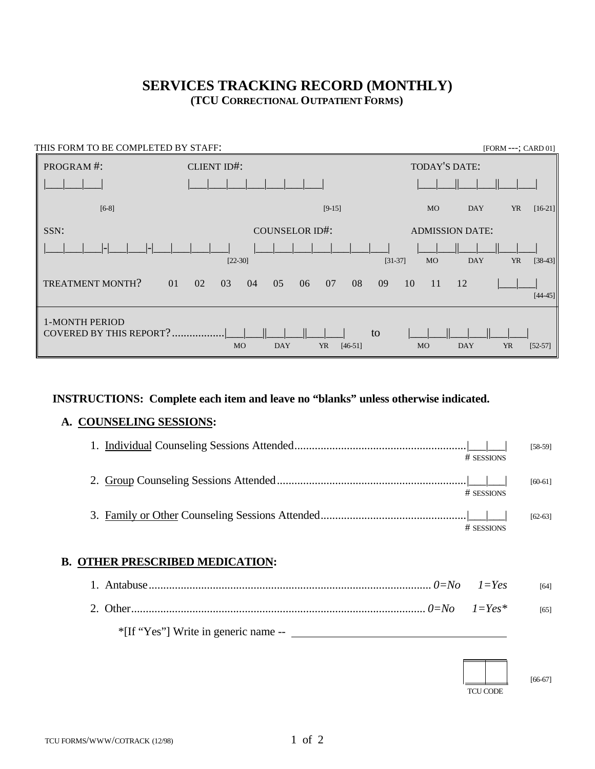# **SERVICES TRACKING RECORD (MONTHLY) (TCU CORRECTIONAL OUTPATIENT FORMS)**

| THIS FORM TO BE COMPLETED BY STAFF:              |                                                         | [FORM ---; CARD 01]                                            |
|--------------------------------------------------|---------------------------------------------------------|----------------------------------------------------------------|
| PROGRAM#:                                        | CLIENT ID#:                                             | TODAY'S DATE:                                                  |
|                                                  |                                                         |                                                                |
| $[6-8]$                                          | $[9-15]$                                                | $[16-21]$<br><b>MO</b><br><b>YR</b><br><b>DAY</b>              |
| SSN:                                             | <b>COUNSELOR ID#:</b>                                   | <b>ADMISSION DATE:</b>                                         |
|                                                  | $[22-30]$                                               | $[38-43]$<br><b>DAY</b><br><b>YR</b><br>$[31-37]$<br><b>MO</b> |
| <b>TREATMENT MONTH?</b><br>01                    | 02<br>08<br>03<br>05<br>07<br>04<br>06                  | 09<br>10<br>11<br>12<br>$[44 - 45]$                            |
| 1-MONTH PERIOD<br><b>COVERED BY THIS REPORT?</b> | to<br><b>DAY</b><br><b>MO</b><br><b>YR</b><br>$[46-51]$ | <b>YR</b><br><b>MO</b><br><b>DAY</b><br>$[52-57]$              |

## **INSTRUCTIONS: Complete each item and leave no "blanks" unless otherwise indicated.**

# **A. COUNSELING SESSIONS:**

| # SESSIONS   | $[58-59]$ |
|--------------|-----------|
| # SESSIONS   | $[60-61]$ |
| $#$ SESSIONS | $[62-63]$ |

# **B. OTHER PRESCRIBED MEDICATION:**

|                                      | [64] |
|--------------------------------------|------|
|                                      | [65] |
| *[If "Yes"] Write in generic name -- |      |

 TCU CODE

[66-67]